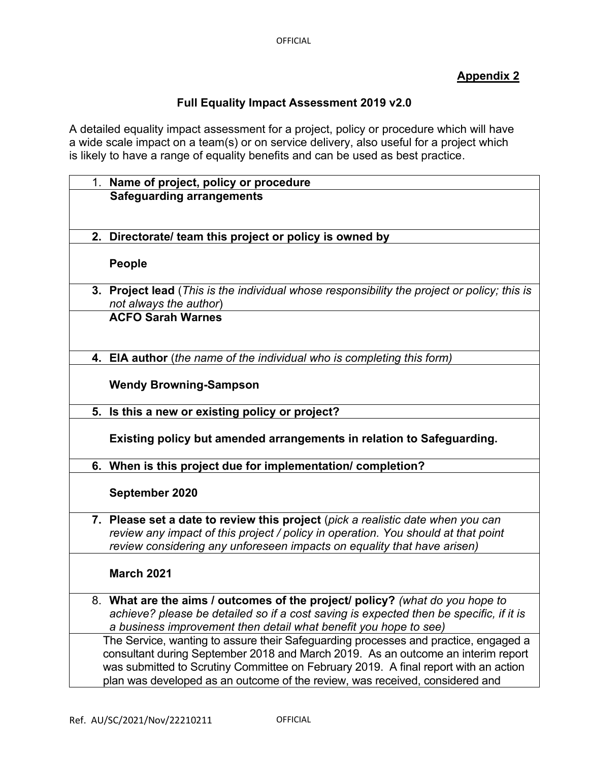## **Appendix 2**

## **Full Equality Impact Assessment 2019 v2.0**

A detailed equality impact assessment for a project, policy or procedure which will have a wide scale impact on a team(s) or on service delivery, also useful for a project which is likely to have a range of equality benefits and can be used as best practice.

|    | 1. Name of project, policy or procedure                                                                               |
|----|-----------------------------------------------------------------------------------------------------------------------|
|    | <b>Safeguarding arrangements</b>                                                                                      |
|    |                                                                                                                       |
|    |                                                                                                                       |
|    | 2. Directorate/ team this project or policy is owned by                                                               |
|    |                                                                                                                       |
|    | <b>People</b>                                                                                                         |
|    |                                                                                                                       |
|    | 3. Project lead (This is the individual whose responsibility the project or policy; this is<br>not always the author) |
|    | <b>ACFO Sarah Warnes</b>                                                                                              |
|    |                                                                                                                       |
|    |                                                                                                                       |
|    | 4. EIA author (the name of the individual who is completing this form)                                                |
|    |                                                                                                                       |
|    | <b>Wendy Browning-Sampson</b>                                                                                         |
|    |                                                                                                                       |
|    | 5. Is this a new or existing policy or project?                                                                       |
|    |                                                                                                                       |
|    | Existing policy but amended arrangements in relation to Safeguarding.                                                 |
|    | 6. When is this project due for implementation/ completion?                                                           |
|    |                                                                                                                       |
|    | September 2020                                                                                                        |
|    |                                                                                                                       |
|    | 7. Please set a date to review this project (pick a realistic date when you can                                       |
|    | review any impact of this project / policy in operation. You should at that point                                     |
|    | review considering any unforeseen impacts on equality that have arisen)                                               |
|    | <b>March 2021</b>                                                                                                     |
|    |                                                                                                                       |
| 8. | What are the aims / outcomes of the project/ policy? (what do you hope to                                             |
|    | achieve? please be detailed so if a cost saving is expected then be specific, if it is                                |
|    | a business improvement then detail what benefit you hope to see)                                                      |
|    | The Service, wanting to assure their Safeguarding processes and practice, engaged a                                   |
|    | consultant during September 2018 and March 2019. As an outcome an interim report                                      |
|    | was submitted to Scrutiny Committee on February 2019. A final report with an action                                   |
|    | plan was developed as an outcome of the review, was received, considered and                                          |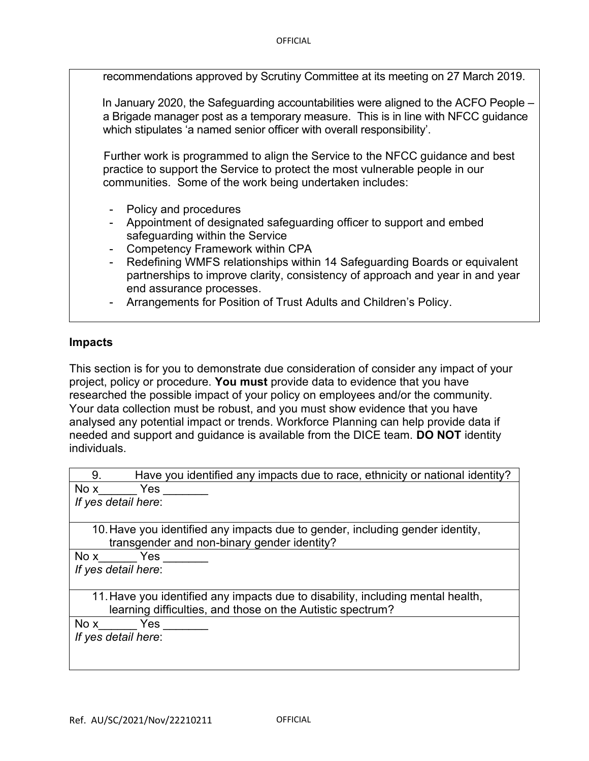recommendations approved by Scrutiny Committee at its meeting on 27 March 2019.

 In January 2020, the Safeguarding accountabilities were aligned to the ACFO People – a Brigade manager post as a temporary measure. This is in line with NFCC guidance which stipulates 'a named senior officer with overall responsibility'.

 Further work is programmed to align the Service to the NFCC guidance and best practice to support the Service to protect the most vulnerable people in our communities. Some of the work being undertaken includes:

- Policy and procedures
- Appointment of designated safeguarding officer to support and embed safeguarding within the Service
- Competency Framework within CPA
- Redefining WMFS relationships within 14 Safeguarding Boards or equivalent partnerships to improve clarity, consistency of approach and year in and year end assurance processes.
- Arrangements for Position of Trust Adults and Children's Policy.

## **Impacts**

This section is for you to demonstrate due consideration of consider any impact of your project, policy or procedure. **You must** provide data to evidence that you have researched the possible impact of your policy on employees and/or the community. Your data collection must be robust, and you must show evidence that you have analysed any potential impact or trends. Workforce Planning can help provide data if needed and support and guidance is available from the DICE team. **DO NOT** identity individuals.

| Have you identified any impacts due to race, ethnicity or national identity?<br>9. |  |  |
|------------------------------------------------------------------------------------|--|--|
| Nox<br><b>Yes</b>                                                                  |  |  |
| If yes detail here:                                                                |  |  |
|                                                                                    |  |  |
| 10. Have you identified any impacts due to gender, including gender identity,      |  |  |
| transgender and non-binary gender identity?                                        |  |  |
| No x Yes                                                                           |  |  |
| If yes detail here:                                                                |  |  |
|                                                                                    |  |  |
| 11. Have you identified any impacts due to disability, including mental health,    |  |  |
| learning difficulties, and those on the Autistic spectrum?                         |  |  |
| No x Yes                                                                           |  |  |
| If yes detail here:                                                                |  |  |
|                                                                                    |  |  |
|                                                                                    |  |  |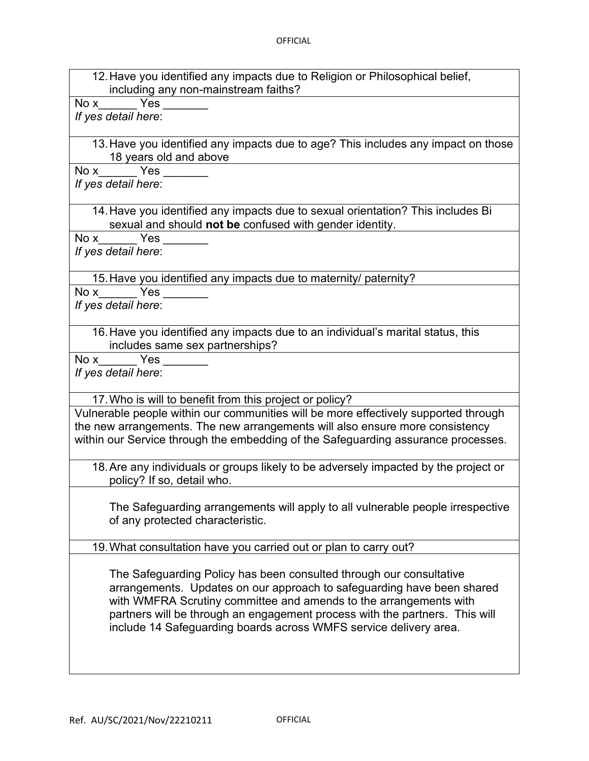12. Have you identified any impacts due to Religion or Philosophical belief, including any non-mainstream faiths?

No x  $Y$ es

*If yes detail here*:

13. Have you identified any impacts due to age? This includes any impact on those 18 years old and above

No x  $Yes$ 

*If yes detail here*:

14. Have you identified any impacts due to sexual orientation? This includes Bi sexual and should **not be** confused with gender identity.

No x Yes

*If yes detail here*:

15. Have you identified any impacts due to maternity/ paternity?

No x  $Y$ es

*If yes detail here*:

16. Have you identified any impacts due to an individual's marital status, this includes same sex partnerships?

No x  $Y$ es

*If yes detail here*:

17. Who is will to benefit from this project or policy?

Vulnerable people within our communities will be more effectively supported through the new arrangements. The new arrangements will also ensure more consistency within our Service through the embedding of the Safeguarding assurance processes.

18. Are any individuals or groups likely to be adversely impacted by the project or policy? If so, detail who.

The Safeguarding arrangements will apply to all vulnerable people irrespective of any protected characteristic.

19. What consultation have you carried out or plan to carry out?

The Safeguarding Policy has been consulted through our consultative arrangements. Updates on our approach to safeguarding have been shared with WMFRA Scrutiny committee and amends to the arrangements with partners will be through an engagement process with the partners. This will include 14 Safeguarding boards across WMFS service delivery area.